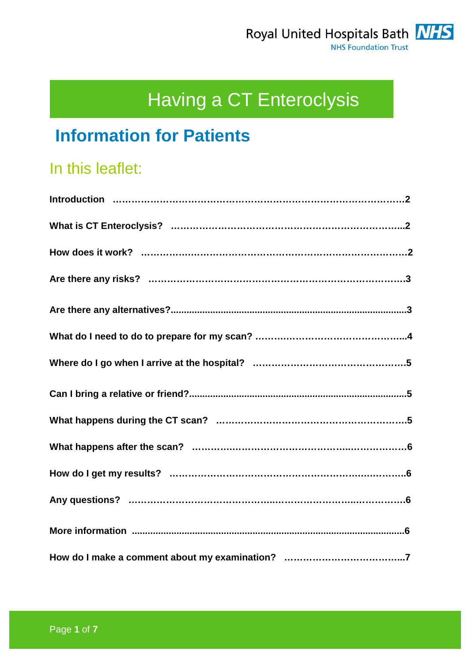# Having a CT Enteroclysis

## **Information for Patients**

## In this leaflet: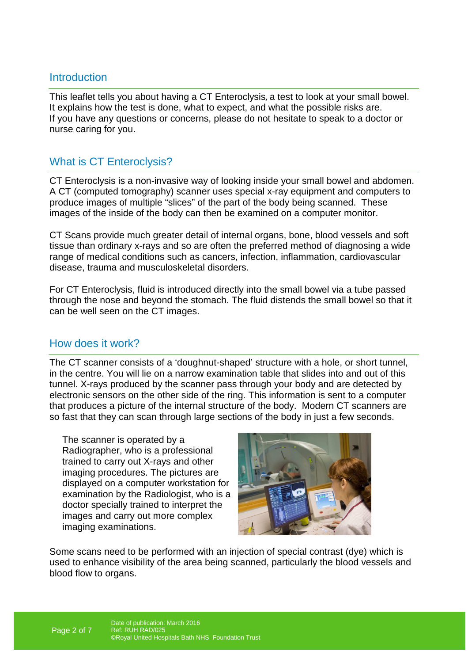### **Introduction**

This leaflet tells you about having a CT Enteroclysis, a test to look at your small bowel. It explains how the test is done, what to expect, and what the possible risks are. If you have any questions or concerns, please do not hesitate to speak to a doctor or nurse caring for you.

## What is CT Enteroclysis?

CT Enteroclysis is a non-invasive way of looking inside your small bowel and abdomen. A CT (computed tomography) scanner uses special x-ray equipment and computers to produce images of multiple "slices" of the part of the body being scanned. These images of the inside of the body can then be examined on a computer monitor.

CT Scans provide much greater detail of internal organs, bone, blood vessels and soft tissue than ordinary x-rays and so are often the preferred method of diagnosing a wide range of medical conditions such as cancers, infection, inflammation, cardiovascular disease, trauma and musculoskeletal disorders.

For CT Enteroclysis, fluid is introduced directly into the small bowel via a tube passed through the nose and beyond the stomach. The fluid distends the small bowel so that it can be well seen on the CT images.

#### How does it work?

The CT scanner consists of a 'doughnut-shaped' structure with a hole, or short tunnel, in the centre. You will lie on a narrow examination table that slides into and out of this tunnel. X-rays produced by the scanner pass through your body and are detected by electronic sensors on the other side of the ring. This information is sent to a computer that produces a picture of the internal structure of the body. Modern CT scanners are so fast that they can scan through large sections of the body in just a few seconds.

The scanner is operated by a Radiographer, who is a professional trained to carry out X-rays and other imaging procedures. The pictures are displayed on a computer workstation for examination by the Radiologist, who is a doctor specially trained to interpret the images and carry out more complex imaging examinations.



Some scans need to be performed with an injection of special contrast (dye) which is used to enhance visibility of the area being scanned, particularly the blood vessels and blood flow to organs.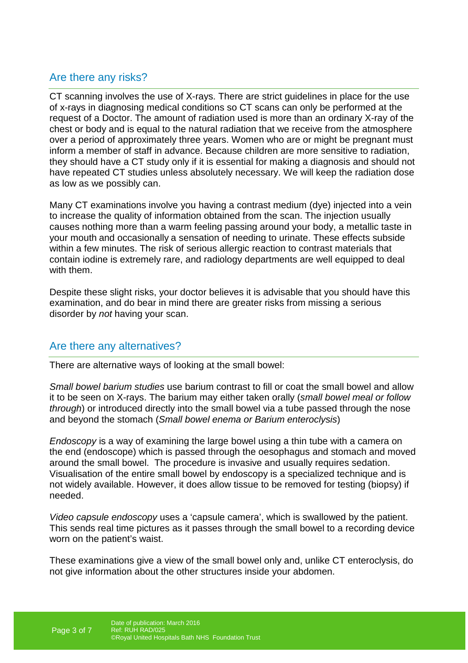## Are there any risks?

CT scanning involves the use of X-rays. There are strict guidelines in place for the use of x-rays in diagnosing medical conditions so CT scans can only be performed at the request of a Doctor. The amount of radiation used is more than an ordinary X-ray of the chest or body and is equal to the natural radiation that we receive from the atmosphere over a period of approximately three years. Women who are or might be pregnant must inform a member of staff in advance. Because children are more sensitive to radiation, they should have a CT study only if it is essential for making a diagnosis and should not have repeated CT studies unless absolutely necessary. We will keep the radiation dose as low as we possibly can.

Many CT examinations involve you having a contrast medium (dye) injected into a vein to increase the quality of information obtained from the scan. The injection usually causes nothing more than a warm feeling passing around your body, a metallic taste in your mouth and occasionally a sensation of needing to urinate. These effects subside within a few minutes. The risk of serious allergic reaction to contrast materials that contain iodine is extremely rare, and radiology departments are well equipped to deal with them.

Despite these slight risks, your doctor believes it is advisable that you should have this examination, and do bear in mind there are greater risks from missing a serious disorder by not having your scan.

## Are there any alternatives?

There are alternative ways of looking at the small bowel:

Small bowel barium studies use barium contrast to fill or coat the small bowel and allow it to be seen on X-rays. The barium may either taken orally (small bowel meal or follow through) or introduced directly into the small bowel via a tube passed through the nose and beyond the stomach (Small bowel enema or Barium enteroclysis)

Endoscopy is a way of examining the large bowel using a thin tube with a camera on the end (endoscope) which is passed through the oesophagus and stomach and moved around the small bowel. The procedure is invasive and usually requires sedation. Visualisation of the entire small bowel by endoscopy is a specialized technique and is not widely available. However, it does allow tissue to be removed for testing (biopsy) if needed.

Video capsule endoscopy uses a 'capsule camera', which is swallowed by the patient. This sends real time pictures as it passes through the small bowel to a recording device worn on the patient's waist.

These examinations give a view of the small bowel only and, unlike CT enteroclysis, do not give information about the other structures inside your abdomen.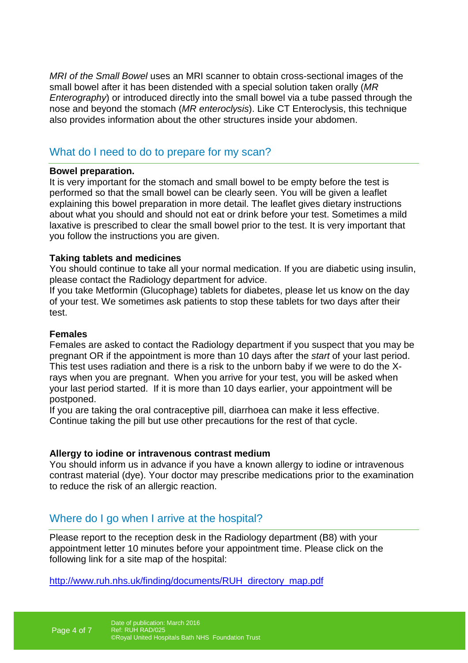MRI of the Small Bowel uses an MRI scanner to obtain cross-sectional images of the small bowel after it has been distended with a special solution taken orally (MR Enterography) or introduced directly into the small bowel via a tube passed through the nose and beyond the stomach (MR enteroclysis). Like CT Enteroclysis, this technique also provides information about the other structures inside your abdomen.

## What do I need to do to prepare for my scan?

#### **Bowel preparation.**

It is very important for the stomach and small bowel to be empty before the test is performed so that the small bowel can be clearly seen. You will be given a leaflet explaining this bowel preparation in more detail. The leaflet gives dietary instructions about what you should and should not eat or drink before your test. Sometimes a mild laxative is prescribed to clear the small bowel prior to the test. It is very important that you follow the instructions you are given.

#### **Taking tablets and medicines**

You should continue to take all your normal medication. If you are diabetic using insulin, please contact the Radiology department for advice.

If you take Metformin (Glucophage) tablets for diabetes, please let us know on the day of your test. We sometimes ask patients to stop these tablets for two days after their test.

#### **Females**

Females are asked to contact the Radiology department if you suspect that you may be pregnant OR if the appointment is more than 10 days after the start of your last period. This test uses radiation and there is a risk to the unborn baby if we were to do the Xrays when you are pregnant. When you arrive for your test, you will be asked when your last period started. If it is more than 10 days earlier, your appointment will be postponed.

If you are taking the oral contraceptive pill, diarrhoea can make it less effective. Continue taking the pill but use other precautions for the rest of that cycle.

#### **Allergy to iodine or intravenous contrast medium**

You should inform us in advance if you have a known allergy to iodine or intravenous contrast material (dye). Your doctor may prescribe medications prior to the examination to reduce the risk of an allergic reaction.

## Where do I go when I arrive at the hospital?

Please report to the reception desk in the Radiology department (B8) with your appointment letter 10 minutes before your appointment time. Please click on the following link for a site map of the hospital:

http://www.ruh.nhs.uk/finding/documents/RUH\_directory\_map.pdf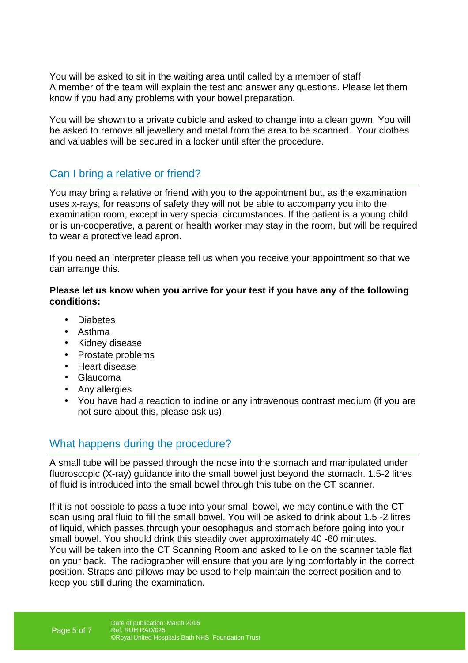You will be asked to sit in the waiting area until called by a member of staff. A member of the team will explain the test and answer any questions. Please let them know if you had any problems with your bowel preparation.

You will be shown to a private cubicle and asked to change into a clean gown. You will be asked to remove all jewellery and metal from the area to be scanned. Your clothes and valuables will be secured in a locker until after the procedure.

## Can I bring a relative or friend?

You may bring a relative or friend with you to the appointment but, as the examination uses x-rays, for reasons of safety they will not be able to accompany you into the examination room, except in very special circumstances. If the patient is a young child or is un-cooperative, a parent or health worker may stay in the room, but will be required to wear a protective lead apron.

If you need an interpreter please tell us when you receive your appointment so that we can arrange this.

#### **Please let us know when you arrive for your test if you have any of the following conditions:**

- Diabetes
- Asthma
- Kidney disease
- Prostate problems
- Heart disease
- Glaucoma
- Any allergies
- You have had a reaction to iodine or any intravenous contrast medium (if you are not sure about this, please ask us).

#### What happens during the procedure?

A small tube will be passed through the nose into the stomach and manipulated under fluoroscopic (X-ray) guidance into the small bowel just beyond the stomach. 1.5-2 litres of fluid is introduced into the small bowel through this tube on the CT scanner.

If it is not possible to pass a tube into your small bowel, we may continue with the CT scan using oral fluid to fill the small bowel. You will be asked to drink about 1.5 -2 litres of liquid, which passes through your oesophagus and stomach before going into your small bowel. You should drink this steadily over approximately 40 -60 minutes. You will be taken into the CT Scanning Room and asked to lie on the scanner table flat on your back. The radiographer will ensure that you are lying comfortably in the correct position. Straps and pillows may be used to help maintain the correct position and to keep you still during the examination.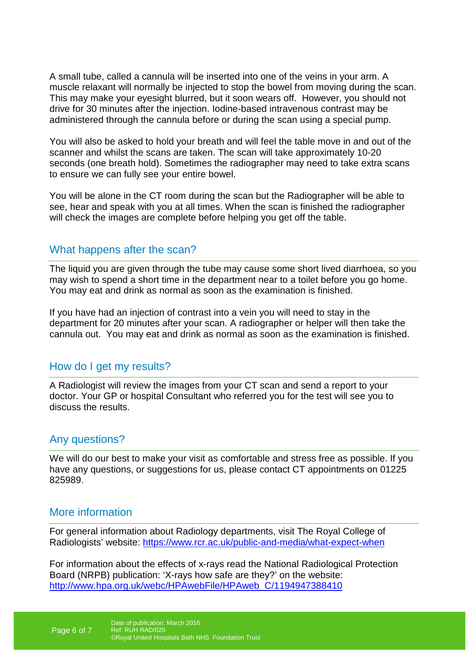A small tube, called a cannula will be inserted into one of the veins in your arm. A muscle relaxant will normally be injected to stop the bowel from moving during the scan. This may make your eyesight blurred, but it soon wears off. However, you should not drive for 30 minutes after the injection. Iodine-based intravenous contrast may be administered through the cannula before or during the scan using a special pump.

You will also be asked to hold your breath and will feel the table move in and out of the scanner and whilst the scans are taken. The scan will take approximately 10-20 seconds (one breath hold). Sometimes the radiographer may need to take extra scans to ensure we can fully see your entire bowel.

You will be alone in the CT room during the scan but the Radiographer will be able to see, hear and speak with you at all times. When the scan is finished the radiographer will check the images are complete before helping you get off the table.

#### What happens after the scan?

The liquid you are given through the tube may cause some short lived diarrhoea, so you may wish to spend a short time in the department near to a toilet before you go home. You may eat and drink as normal as soon as the examination is finished.

If you have had an injection of contrast into a vein you will need to stay in the department for 20 minutes after your scan. A radiographer or helper will then take the cannula out. You may eat and drink as normal as soon as the examination is finished.

## How do I get my results?

A Radiologist will review the images from your CT scan and send a report to your doctor. Your GP or hospital Consultant who referred you for the test will see you to discuss the results.

#### Any questions?

We will do our best to make your visit as comfortable and stress free as possible. If you have any questions, or suggestions for us, please contact CT appointments on 01225 825989.

## More information

For general information about Radiology departments, visit The Royal College of Radiologists' website: https://www.rcr.ac.uk/public-and-media/what-expect-when

For information about the effects of x-rays read the National Radiological Protection Board (NRPB) publication: 'X-rays how safe are they?' on the website: http://www.hpa.org.uk/webc/HPAwebFile/HPAweb\_C/1194947388410